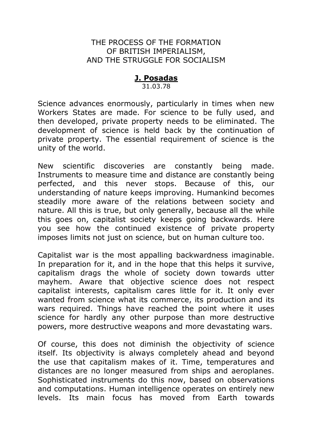# THE PROCESS OF THE FORMATION OF BRITISH IMPERIALISM, AND THE STRUGGLE FOR SOCIALISM

# **J. Posadas**

31.03.78

Science advances enormously, particularly in times when new Workers States are made. For science to be fully used, and then developed, private property needs to be eliminated. The development of science is held back by the continuation of private property. The essential requirement of science is the unity of the world.

New scientific discoveries are constantly being made. Instruments to measure time and distance are constantly being perfected, and this never stops. Because of this, our understanding of nature keeps improving. Humankind becomes steadily more aware of the relations between society and nature. All this is true, but only generally, because all the while this goes on, capitalist society keeps going backwards. Here you see how the continued existence of private property imposes limits not just on science, but on human culture too.

Capitalist war is the most appalling backwardness imaginable. In preparation for it, and in the hope that this helps it survive, capitalism drags the whole of society down towards utter mayhem. Aware that objective science does not respect capitalist interests, capitalism cares little for it. It only ever wanted from science what its commerce, its production and its wars required. Things have reached the point where it uses science for hardly any other purpose than more destructive powers, more destructive weapons and more devastating wars.

Of course, this does not diminish the objectivity of science itself. Its objectivity is always completely ahead and beyond the use that capitalism makes of it. Time, temperatures and distances are no longer measured from ships and aeroplanes. Sophisticated instruments do this now, based on observations and computations. Human intelligence operates on entirely new levels. Its main focus has moved from Earth towards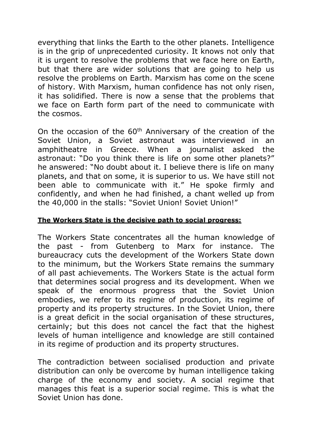everything that links the Earth to the other planets. Intelligence is in the grip of unprecedented curiosity. It knows not only that it is urgent to resolve the problems that we face here on Earth, but that there are wider solutions that are going to help us resolve the problems on Earth. Marxism has come on the scene of history. With Marxism, human confidence has not only risen, it has solidified. There is now a sense that the problems that we face on Earth form part of the need to communicate with the cosmos.

On the occasion of the  $60<sup>th</sup>$  Anniversary of the creation of the Soviet Union, a Soviet astronaut was interviewed in an amphitheatre in Greece. When a journalist asked the astronaut: "Do you think there is life on some other planets?" he answered: "No doubt about it. I believe there is life on many planets, and that on some, it is superior to us. We have still not been able to communicate with it." He spoke firmly and confidently, and when he had finished, a chant welled up from the 40,000 in the stalls: "Soviet Union! Soviet Union!"

## **The Workers State is the decisive path to social progress:**

The Workers State concentrates all the human knowledge of the past - from Gutenberg to Marx for instance. The bureaucracy cuts the development of the Workers State down to the minimum, but the Workers State remains the summary of all past achievements. The Workers State is the actual form that determines social progress and its development. When we speak of the enormous progress that the Soviet Union embodies, we refer to its regime of production, its regime of property and its property structures. In the Soviet Union, there is a great deficit in the social organisation of these structures, certainly; but this does not cancel the fact that the highest levels of human intelligence and knowledge are still contained in its regime of production and its property structures.

The contradiction between socialised production and private distribution can only be overcome by human intelligence taking charge of the economy and society. A social regime that manages this feat is a superior social regime. This is what the Soviet Union has done.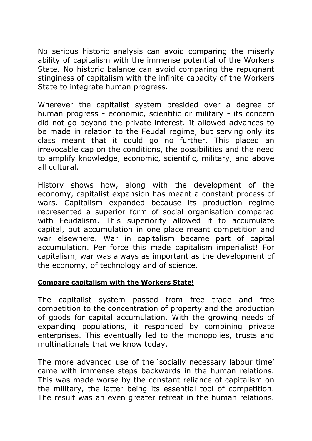No serious historic analysis can avoid comparing the miserly ability of capitalism with the immense potential of the Workers State. No historic balance can avoid comparing the repugnant stinginess of capitalism with the infinite capacity of the Workers State to integrate human progress.

Wherever the capitalist system presided over a degree of human progress - economic, scientific or military - its concern did not go beyond the private interest. It allowed advances to be made in relation to the Feudal regime, but serving only its class meant that it could go no further. This placed an irrevocable cap on the conditions, the possibilities and the need to amplify knowledge, economic, scientific, military, and above all cultural.

History shows how, along with the development of the economy, capitalist expansion has meant a constant process of wars. Capitalism expanded because its production regime represented a superior form of social organisation compared with Feudalism. This superiority allowed it to accumulate capital, but accumulation in one place meant competition and war elsewhere. War in capitalism became part of capital accumulation. Per force this made capitalism imperialist! For capitalism, war was always as important as the development of the economy, of technology and of science.

#### **Compare capitalism with the Workers State!**

The capitalist system passed from free trade and free competition to the concentration of property and the production of goods for capital accumulation. With the growing needs of expanding populations, it responded by combining private enterprises. This eventually led to the monopolies, trusts and multinationals that we know today.

The more advanced use of the 'socially necessary labour time' came with immense steps backwards in the human relations. This was made worse by the constant reliance of capitalism on the military, the latter being its essential tool of competition. The result was an even greater retreat in the human relations.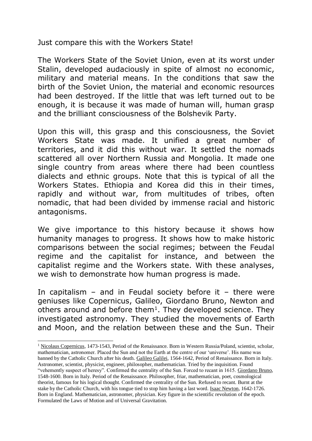Just compare this with the Workers State!

The Workers State of the Soviet Union, even at its worst under Stalin, developed audaciously in spite of almost no economic, military and material means. In the conditions that saw the birth of the Soviet Union, the material and economic resources had been destroyed. If the little that was left turned out to be enough, it is because it was made of human will, human grasp and the brilliant consciousness of the Bolshevik Party.

Upon this will, this grasp and this consciousness, the Soviet Workers State was made. It unified a great number of territories, and it did this without war. It settled the nomads scattered all over Northern Russia and Mongolia. It made one single country from areas where there had been countless dialects and ethnic groups. Note that this is typical of all the Workers States. Ethiopia and Korea did this in their times, rapidly and without war, from multitudes of tribes, often nomadic, that had been divided by immense racial and historic antagonisms.

We give importance to this history because it shows how humanity manages to progress. It shows how to make historic comparisons between the social regimes; between the Feudal regime and the capitalist for instance, and between the capitalist regime and the Workers state. With these analyses, we wish to demonstrate how human progress is made.

In capitalism – and in Feudal society before it – there were geniuses like Copernicus, Galileo, Giordano Bruno, Newton and others around and before them<sup>1</sup>. They developed science. They investigated astronomy. They studied the movements of Earth and Moon, and the relation between these and the Sun. Their

<sup>1</sup> Nicolaus Copernicus, 1473-1543, Period of the Renaissance. Born in Western Russia/Poland, scientist, scholar, mathematician, astronomer. Placed the Sun and not the Earth at the centre of our 'universe'. His name was banned by the Catholic Church after his death. Galileo Galilei, 1564-1642, Period of Renaissance. Born in Italy.

 $\overline{a}$ 

Astronomer, scientist, physicist, engineer, philosopher, mathematician. Tried by the inquisition. Found "vehemently suspect of heresy". Confirmed the centrality of the Sun. Forced to recant in 1615. Giordano Bruno, 1548-1600. Born in Italy. Period of the Renaissance. Philosopher, friar, mathematician, poet, cosmological theorist, famous for his logical thought. Confirmed the centrality of the Sun. Refused to recant. Burnt at the stake by the Catholic Church, with his tongue tied to stop him having a last word. Isaac Newton, 1642-1726. Born in England. Mathematician, astronomer, physician. Key figure in the scientific revolution of the epoch. Formulated the Laws of Motion and of Universal Gravitation.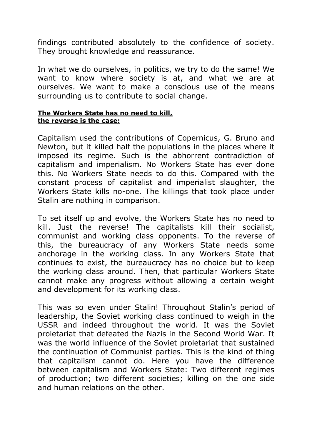findings contributed absolutely to the confidence of society. They brought knowledge and reassurance.

In what we do ourselves, in politics, we try to do the same! We want to know where society is at, and what we are at ourselves. We want to make a conscious use of the means surrounding us to contribute to social change.

#### **The Workers State has no need to kill, the reverse is the case:**

Capitalism used the contributions of Copernicus, G. Bruno and Newton, but it killed half the populations in the places where it imposed its regime. Such is the abhorrent contradiction of capitalism and imperialism. No Workers State has ever done this. No Workers State needs to do this. Compared with the constant process of capitalist and imperialist slaughter, the Workers State kills no-one. The killings that took place under Stalin are nothing in comparison.

To set itself up and evolve, the Workers State has no need to kill. Just the reverse! The capitalists kill their socialist, communist and working class opponents. To the reverse of this, the bureaucracy of any Workers State needs some anchorage in the working class. In any Workers State that continues to exist, the bureaucracy has no choice but to keep the working class around. Then, that particular Workers State cannot make any progress without allowing a certain weight and development for its working class.

This was so even under Stalin! Throughout Stalin's period of leadership, the Soviet working class continued to weigh in the USSR and indeed throughout the world. It was the Soviet proletariat that defeated the Nazis in the Second World War. It was the world influence of the Soviet proletariat that sustained the continuation of Communist parties. This is the kind of thing that capitalism cannot do. Here you have the difference between capitalism and Workers State: Two different regimes of production; two different societies; killing on the one side and human relations on the other.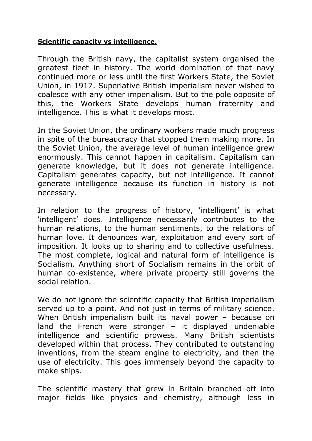# **Scientific capacity vs intelligence.**

Through the British navy, the capitalist system organised the greatest fleet in history. The world domination of that navy continued more or less until the first Workers State, the Soviet Union, in 1917. Superlative British imperialism never wished to coalesce with any other imperialism. But to the pole opposite of this, the Workers State develops human fraternity and intelligence. This is what it develops most.

In the Soviet Union, the ordinary workers made much progress in spite of the bureaucracy that stopped them making more. In the Soviet Union, the average level of human intelligence grew enormously. This cannot happen in capitalism. Capitalism can generate knowledge, but it does not generate intelligence. Capitalism generates capacity, but not intelligence. It cannot generate intelligence because its function in history is not necessary.

In relation to the progress of history, 'intelligent' is what 'intelligent' does. Intelligence necessarily contributes to the human relations, to the human sentiments, to the relations of human love. It denounces war, exploitation and every sort of imposition. It looks up to sharing and to collective usefulness. The most complete, logical and natural form of intelligence is Socialism. Anything short of Socialism remains in the orbit of human co-existence, where private property still governs the social relation.

We do not ignore the scientific capacity that British imperialism served up to a point. And not just in terms of military science. When British imperialism built its naval power - because on land the French were stronger  $-$  it displayed undeniable intelligence and scientific prowess. Many British scientists developed within that process. They contributed to outstanding inventions, from the steam engine to electricity, and then the use of electricity. This goes immensely beyond the capacity to make ships.

The scientific mastery that grew in Britain branched off into major fields like physics and chemistry, although less in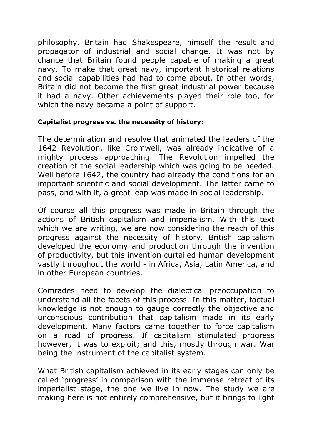philosophy. Britain had Shakespeare, himself the result and propagator of industrial and social change. It was not by chance that Britain found people capable of making a great navy. To make that great navy, important historical relations and social capabilities had had to come about. In other words, Britain did not become the first great industrial power because it had a navy. Other achievements played their role too, for which the navy became a point of support.

### **Capitalist progress vs. the necessity of history:**

The determination and resolve that animated the leaders of the 1642 Revolution, like Cromwell, was already indicative of a mighty process approaching. The Revolution impelled the creation of the social leadership which was going to be needed. Well before 1642, the country had already the conditions for an important scientific and social development. The latter came to pass, and with it, a great leap was made in social leadership.

Of course all this progress was made in Britain through the actions of British capitalism and imperialism. With this text which we are writing, we are now considering the reach of this progress against the necessity of history. British capitalism developed the economy and production through the invention of productivity, but this invention curtailed human development vastly throughout the world - in Africa, Asia, Latin America, and in other European countries.

Comrades need to develop the dialectical preoccupation to understand all the facets of this process. In this matter, factual knowledge is not enough to gauge correctly the objective and unconscious contribution that capitalism made in its early development. Many factors came together to force capitalism on a road of progress. If capitalism stimulated progress however, it was to exploit; and this, mostly through war. War being the instrument of the capitalist system.

What British capitalism achieved in its early stages can only be called 'progress' in comparison with the immense retreat of its imperialist stage, the one we live in now. The study we are making here is not entirely comprehensive, but it brings to light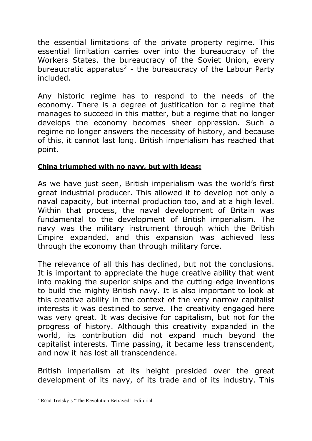the essential limitations of the private property regime. This essential limitation carries over into the bureaucracy of the Workers States, the bureaucracy of the Soviet Union, every bureaucratic apparatus<sup>2</sup> - the bureaucracy of the Labour Party included.

Any historic regime has to respond to the needs of the economy. There is a degree of justification for a regime that manages to succeed in this matter, but a regime that no longer develops the economy becomes sheer oppression. Such a regime no longer answers the necessity of history, and because of this, it cannot last long. British imperialism has reached that point.

# **China triumphed with no navy, but with ideas:**

As we have just seen, British imperialism was the world's first great industrial producer. This allowed it to develop not only a naval capacity, but internal production too, and at a high level. Within that process, the naval development of Britain was fundamental to the development of British imperialism. The navy was the military instrument through which the British Empire expanded, and this expansion was achieved less through the economy than through military force.

The relevance of all this has declined, but not the conclusions. It is important to appreciate the huge creative ability that went into making the superior ships and the cutting-edge inventions to build the mighty British navy. It is also important to look at this creative ability in the context of the very narrow capitalist interests it was destined to serve. The creativity engaged here was very great. It was decisive for capitalism, but not for the progress of history. Although this creativity expanded in the world, its contribution did not expand much beyond the capitalist interests. Time passing, it became less transcendent, and now it has lost all transcendence.

British imperialism at its height presided over the great development of its navy, of its trade and of its industry. This

<sup>2</sup> Read Trotsky's "The Revolution Betrayed". Editorial.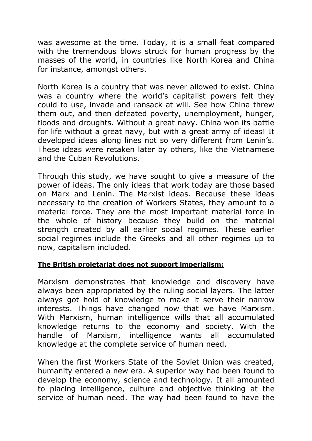was awesome at the time. Today, it is a small feat compared with the tremendous blows struck for human progress by the masses of the world, in countries like North Korea and China for instance, amongst others.

North Korea is a country that was never allowed to exist. China was a country where the world's capitalist powers felt they could to use, invade and ransack at will. See how China threw them out, and then defeated poverty, unemployment, hunger, floods and droughts. Without a great navy. China won its battle for life without a great navy, but with a great army of ideas! It developed ideas along lines not so very different from Lenin's. These ideas were retaken later by others, like the Vietnamese and the Cuban Revolutions.

Through this study, we have sought to give a measure of the power of ideas. The only ideas that work today are those based on Marx and Lenin. The Marxist ideas. Because these ideas necessary to the creation of Workers States, they amount to a material force. They are the most important material force in the whole of history because they build on the material strength created by all earlier social regimes. These earlier social regimes include the Greeks and all other regimes up to now, capitalism included.

#### **The British proletariat does not support imperialism:**

Marxism demonstrates that knowledge and discovery have always been appropriated by the ruling social layers. The latter always got hold of knowledge to make it serve their narrow interests. Things have changed now that we have Marxism. With Marxism, human intelligence wills that all accumulated knowledge returns to the economy and society. With the handle of Marxism, intelligence wants all accumulated knowledge at the complete service of human need.

When the first Workers State of the Soviet Union was created, humanity entered a new era. A superior way had been found to develop the economy, science and technology. It all amounted to placing intelligence, culture and objective thinking at the service of human need. The way had been found to have the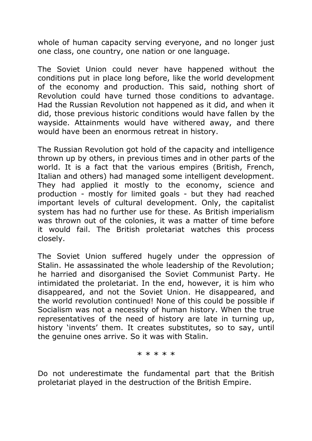whole of human capacity serving everyone, and no longer just one class, one country, one nation or one language.

The Soviet Union could never have happened without the conditions put in place long before, like the world development of the economy and production. This said, nothing short of Revolution could have turned those conditions to advantage. Had the Russian Revolution not happened as it did, and when it did, those previous historic conditions would have fallen by the wayside. Attainments would have withered away, and there would have been an enormous retreat in history.

The Russian Revolution got hold of the capacity and intelligence thrown up by others, in previous times and in other parts of the world. It is a fact that the various empires (British, French, Italian and others) had managed some intelligent development. They had applied it mostly to the economy, science and production - mostly for limited goals - but they had reached important levels of cultural development. Only, the capitalist system has had no further use for these. As British imperialism was thrown out of the colonies, it was a matter of time before it would fail. The British proletariat watches this process closely.

The Soviet Union suffered hugely under the oppression of Stalin. He assassinated the whole leadership of the Revolution; he harried and disorganised the Soviet Communist Party. He intimidated the proletariat. In the end, however, it is him who disappeared, and not the Soviet Union. He disappeared, and the world revolution continued! None of this could be possible if Socialism was not a necessity of human history. When the true representatives of the need of history are late in turning up, history 'invents' them. It creates substitutes, so to say, until the genuine ones arrive. So it was with Stalin.

\* \* \* \* \*

Do not underestimate the fundamental part that the British proletariat played in the destruction of the British Empire.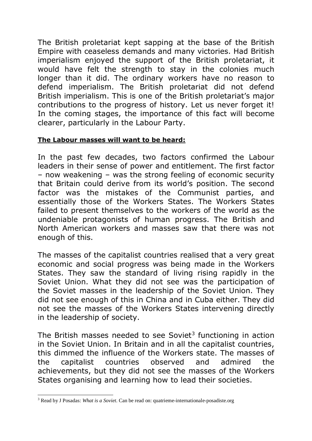The British proletariat kept sapping at the base of the British Empire with ceaseless demands and many victories. Had British imperialism enjoyed the support of the British proletariat, it would have felt the strength to stay in the colonies much longer than it did. The ordinary workers have no reason to defend imperialism. The British proletariat did not defend British imperialism. This is one of the British proletariat's major contributions to the progress of history. Let us never forget it! In the coming stages, the importance of this fact will become clearer, particularly in the Labour Party.

# **The Labour masses will want to be heard:**

In the past few decades, two factors confirmed the Labour leaders in their sense of power and entitlement. The first factor – now weakening – was the strong feeling of economic security that Britain could derive from its world's position. The second factor was the mistakes of the Communist parties, and essentially those of the Workers States. The Workers States failed to present themselves to the workers of the world as the undeniable protagonists of human progress. The British and North American workers and masses saw that there was not enough of this.

The masses of the capitalist countries realised that a very great economic and social progress was being made in the Workers States. They saw the standard of living rising rapidly in the Soviet Union. What they did not see was the participation of the Soviet masses in the leadership of the Soviet Union. They did not see enough of this in China and in Cuba either. They did not see the masses of the Workers States intervening directly in the leadership of society.

The British masses needed to see Soviet $3$  functioning in action in the Soviet Union. In Britain and in all the capitalist countries, this dimmed the influence of the Workers state. The masses of the capitalist countries observed and admired the achievements, but they did not see the masses of the Workers States organising and learning how to lead their societies.

<sup>-</sup><sup>3</sup> Read by J Posadas: *What is a Soviet*. Can be read on: quatrieme-internationale-posadiste.org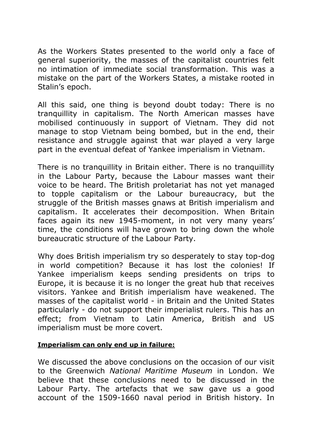As the Workers States presented to the world only a face of general superiority, the masses of the capitalist countries felt no intimation of immediate social transformation. This was a mistake on the part of the Workers States, a mistake rooted in Stalin's epoch.

All this said, one thing is beyond doubt today: There is no tranquillity in capitalism. The North American masses have mobilised continuously in support of Vietnam. They did not manage to stop Vietnam being bombed, but in the end, their resistance and struggle against that war played a very large part in the eventual defeat of Yankee imperialism in Vietnam.

There is no tranquillity in Britain either. There is no tranquillity in the Labour Party, because the Labour masses want their voice to be heard. The British proletariat has not yet managed to topple capitalism or the Labour bureaucracy, but the struggle of the British masses gnaws at British imperialism and capitalism. It accelerates their decomposition. When Britain faces again its new 1945-moment, in not very many years' time, the conditions will have grown to bring down the whole bureaucratic structure of the Labour Party.

Why does British imperialism try so desperately to stay top-dog in world competition? Because it has lost the colonies! If Yankee imperialism keeps sending presidents on trips to Europe, it is because it is no longer the great hub that receives visitors. Yankee and British imperialism have weakened. The masses of the capitalist world - in Britain and the United States particularly - do not support their imperialist rulers. This has an effect; from Vietnam to Latin America, British and US imperialism must be more covert.

#### **Imperialism can only end up in failure:**

We discussed the above conclusions on the occasion of our visit to the Greenwich *National Maritime Museum* in London. We believe that these conclusions need to be discussed in the Labour Party. The artefacts that we saw gave us a good account of the 1509-1660 naval period in British history. In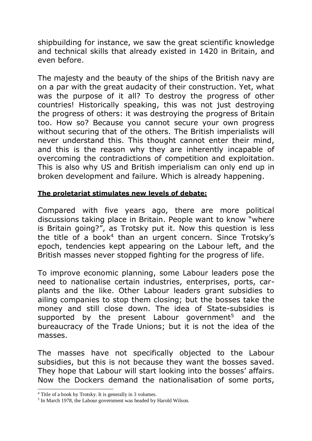shipbuilding for instance, we saw the great scientific knowledge and technical skills that already existed in 1420 in Britain, and even before.

The majesty and the beauty of the ships of the British navy are on a par with the great audacity of their construction. Yet, what was the purpose of it all? To destroy the progress of other countries! Historically speaking, this was not just destroying the progress of others: it was destroying the progress of Britain too. How so? Because you cannot secure your own progress without securing that of the others. The British imperialists will never understand this. This thought cannot enter their mind, and this is the reason why they are inherently incapable of overcoming the contradictions of competition and exploitation. This is also why US and British imperialism can only end up in broken development and failure. Which is already happening.

# **The proletariat stimulates new levels of debate:**

Compared with five years ago, there are more political discussions taking place in Britain. People want to know "where is Britain going?", as Trotsky put it. Now this question is less the title of a book<sup>4</sup> than an urgent concern. Since Trotsky's epoch, tendencies kept appearing on the Labour left, and the British masses never stopped fighting for the progress of life.

To improve economic planning, some Labour leaders pose the need to nationalise certain industries, enterprises, ports, carplants and the like. Other Labour leaders grant subsidies to ailing companies to stop them closing; but the bosses take the money and still close down. The idea of State-subsidies is supported by the present Labour government<sup>5</sup> and the bureaucracy of the Trade Unions; but it is not the idea of the masses.

The masses have not specifically objected to the Labour subsidies, but this is not because they want the bosses saved. They hope that Labour will start looking into the bosses' affairs. Now the Dockers demand the nationalisation of some ports,

<sup>4</sup> Title of a book by Trotsky. It is generally in 3 volumes.

<sup>&</sup>lt;sup>5</sup> In March 1978, the Labour government was headed by Harold Wilson.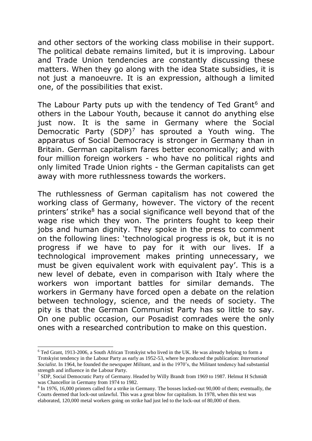and other sectors of the working class mobilise in their support. The political debate remains limited, but it is improving. Labour and Trade Union tendencies are constantly discussing these matters. When they go along with the idea State subsidies, it is not just a manoeuvre. It is an expression, although a limited one, of the possibilities that exist.

The Labour Party puts up with the tendency of Ted Grant<sup>6</sup> and others in the Labour Youth, because it cannot do anything else just now. It is the same in Germany where the Social Democratic Party  $(SDP)^7$  has sprouted a Youth wing. The apparatus of Social Democracy is stronger in Germany than in Britain. German capitalism fares better economically; and with four million foreign workers - who have no political rights and only limited Trade Union rights - the German capitalists can get away with more ruthlessness towards the workers.

The ruthlessness of German capitalism has not cowered the working class of Germany, however. The victory of the recent printers' strike<sup>8</sup> has a social significance well beyond that of the wage rise which they won. The printers fought to keep their jobs and human dignity. They spoke in the press to comment on the following lines: 'technological progress is ok, but it is no progress if we have to pay for it with our lives. If a technological improvement makes printing unnecessary, we must be given equivalent work with equivalent pay'. This is a new level of debate, even in comparison with Italy where the workers won important battles for similar demands. The workers in Germany have forced open a debate on the relation between technology, science, and the needs of society. The pity is that the German Communist Party has so little to say. On one public occasion, our Posadist comrades were the only ones with a researched contribution to make on this question.

<sup>6</sup> Ted Grant, 1913-2006, a South African Trotskyist who lived in the UK. He was already helping to form a Trotskyist tendency in the Labour Party as early as 1952-53, where he produced the publication: *International Socialist*. In 1964, he founded the newspaper *Militant*, and in the 1970's, the Militant tendency had substantial strength and influence in the Labour Party.

<sup>7</sup> SDP, Social Democratic Party of Germany. Headed by Willy Brandt from 1969 to 1987. Helmut H Schmidt was Chancellor in Germany from 1974 to 1982.

<sup>&</sup>lt;sup>8</sup> In 1976, 16,000 printers called for a strike in Germany. The bosses locked-out 90,000 of them; eventually, the Courts deemed that lock-out unlawful. This was a great blow for capitalism. In 1978, when this text was elaborated, 120,000 metal workers going on strike had just led to the lock-out of 80,000 of them.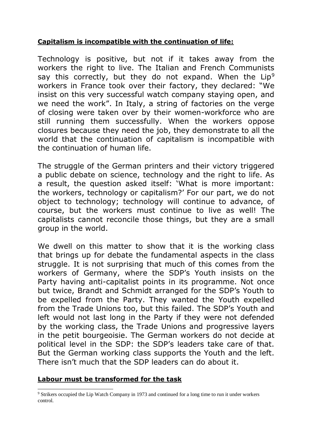### **Capitalism is incompatible with the continuation of life:**

Technology is positive, but not if it takes away from the workers the right to live. The Italian and French Communists say this correctly, but they do not expand. When the  $Lip<sup>9</sup>$ workers in France took over their factory, they declared: "We insist on this very successful watch company staying open, and we need the work". In Italy, a string of factories on the verge of closing were taken over by their women-workforce who are still running them successfully. When the workers oppose closures because they need the job, they demonstrate to all the world that the continuation of capitalism is incompatible with the continuation of human life.

The struggle of the German printers and their victory triggered a public debate on science, technology and the right to life. As a result, the question asked itself: 'What is more important: the workers, technology or capitalism?' For our part, we do not object to technology; technology will continue to advance, of course, but the workers must continue to live as well! The capitalists cannot reconcile those things, but they are a small group in the world.

We dwell on this matter to show that it is the working class that brings up for debate the fundamental aspects in the class struggle. It is not surprising that much of this comes from the workers of Germany, where the SDP's Youth insists on the Party having anti-capitalist points in its programme. Not once but twice, Brandt and Schmidt arranged for the SDP's Youth to be expelled from the Party. They wanted the Youth expelled from the Trade Unions too, but this failed. The SDP's Youth and left would not last long in the Party if they were not defended by the working class, the Trade Unions and progressive layers in the petit bourgeoisie. The German workers do not decide at political level in the SDP: the SDP's leaders take care of that. But the German working class supports the Youth and the left. There isn't much that the SDP leaders can do about it.

#### **Labour must be transformed for the task**

<sup>9</sup> Strikers occupied the Lip Watch Company in 1973 and continued for a long time to run it under workers control.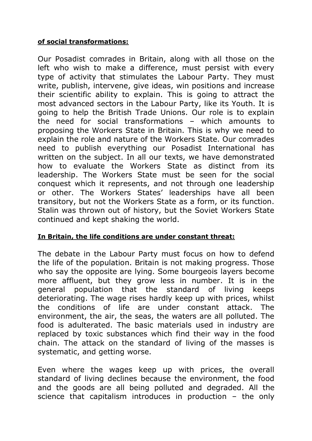## **of social transformations:**

Our Posadist comrades in Britain, along with all those on the left who wish to make a difference, must persist with every type of activity that stimulates the Labour Party. They must write, publish, intervene, give ideas, win positions and increase their scientific ability to explain. This is going to attract the most advanced sectors in the Labour Party, like its Youth. It is going to help the British Trade Unions. Our role is to explain the need for social transformations – which amounts to proposing the Workers State in Britain. This is why we need to explain the role and nature of the Workers State. Our comrades need to publish everything our Posadist International has written on the subject. In all our texts, we have demonstrated how to evaluate the Workers State as distinct from its leadership. The Workers State must be seen for the social conquest which it represents, and not through one leadership or other. The Workers States' leaderships have all been transitory, but not the Workers State as a form, or its function. Stalin was thrown out of history, but the Soviet Workers State continued and kept shaking the world.

# **In Britain, the life conditions are under constant threat:**

The debate in the Labour Party must focus on how to defend the life of the population. Britain is not making progress. Those who say the opposite are lying. Some bourgeois layers become more affluent, but they grow less in number. It is in the general population that the standard of living keeps deteriorating. The wage rises hardly keep up with prices, whilst the conditions of life are under constant attack. The environment, the air, the seas, the waters are all polluted. The food is adulterated. The basic materials used in industry are replaced by toxic substances which find their way in the food chain. The attack on the standard of living of the masses is systematic, and getting worse.

Even where the wages keep up with prices, the overall standard of living declines because the environment, the food and the goods are all being polluted and degraded. All the science that capitalism introduces in production – the only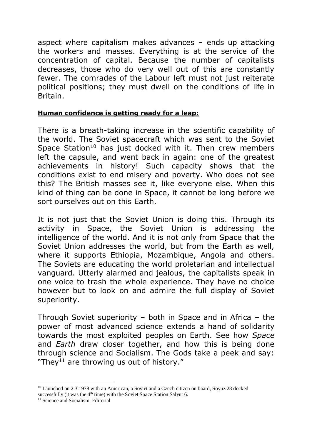aspect where capitalism makes advances – ends up attacking the workers and masses. Everything is at the service of the concentration of capital. Because the number of capitalists decreases, those who do very well out of this are constantly fewer. The comrades of the Labour left must not just reiterate political positions; they must dwell on the conditions of life in Britain.

### **Human confidence is getting ready for a leap:**

There is a breath-taking increase in the scientific capability of the world. The Soviet spacecraft which was sent to the Soviet Space Station<sup>10</sup> has just docked with it. Then crew members left the capsule, and went back in again: one of the greatest achievements in history! Such capacity shows that the conditions exist to end misery and poverty. Who does not see this? The British masses see it, like everyone else. When this kind of thing can be done in Space, it cannot be long before we sort ourselves out on this Earth.

It is not just that the Soviet Union is doing this. Through its activity in Space, the Soviet Union is addressing the intelligence of the world. And it is not only from Space that the Soviet Union addresses the world, but from the Earth as well, where it supports Ethiopia, Mozambique, Angola and others. The Soviets are educating the world proletarian and intellectual vanguard. Utterly alarmed and jealous, the capitalists speak in one voice to trash the whole experience. They have no choice however but to look on and admire the full display of Soviet superiority.

Through Soviet superiority – both in Space and in Africa – the power of most advanced science extends a hand of solidarity towards the most exploited peoples on Earth. See how *Space* and *Earth* draw closer together, and how this is being done through science and Socialism. The Gods take a peek and say: "They<sup>11</sup> are throwing us out of history."

 $\overline{a}$ 

<sup>&</sup>lt;sup>10</sup> Launched on 2.3.1978 with an American, a Soviet and a Czech citizen on board, Soyuz 28 docked

successfully (it was the 4<sup>th</sup> time) with the Soviet Space Station Salyut 6.

<sup>&</sup>lt;sup>11</sup> Science and Socialism. Editorial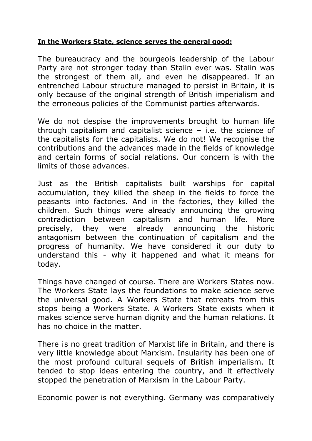### **In the Workers State, science serves the general good:**

The bureaucracy and the bourgeois leadership of the Labour Party are not stronger today than Stalin ever was. Stalin was the strongest of them all, and even he disappeared. If an entrenched Labour structure managed to persist in Britain, it is only because of the original strength of British imperialism and the erroneous policies of the Communist parties afterwards.

We do not despise the improvements brought to human life through capitalism and capitalist science  $-$  i.e. the science of the capitalists for the capitalists. We do not! We recognise the contributions and the advances made in the fields of knowledge and certain forms of social relations. Our concern is with the limits of those advances.

Just as the British capitalists built warships for capital accumulation, they killed the sheep in the fields to force the peasants into factories. And in the factories, they killed the children. Such things were already announcing the growing contradiction between capitalism and human life. More precisely, they were already announcing the historic antagonism between the continuation of capitalism and the progress of humanity. We have considered it our duty to understand this - why it happened and what it means for today.

Things have changed of course. There are Workers States now. The Workers State lays the foundations to make science serve the universal good. A Workers State that retreats from this stops being a Workers State. A Workers State exists when it makes science serve human dignity and the human relations. It has no choice in the matter.

There is no great tradition of Marxist life in Britain, and there is very little knowledge about Marxism. Insularity has been one of the most profound cultural sequels of British imperialism. It tended to stop ideas entering the country, and it effectively stopped the penetration of Marxism in the Labour Party.

Economic power is not everything. Germany was comparatively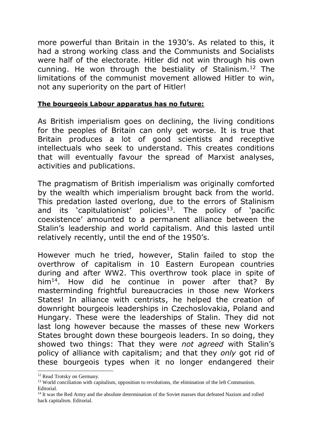more powerful than Britain in the 1930's. As related to this, it had a strong working class and the Communists and Socialists were half of the electorate. Hitler did not win through his own cunning. He won through the bestiality of Stalinism.<sup>12</sup> The limitations of the communist movement allowed Hitler to win, not any superiority on the part of Hitler!

#### **The bourgeois Labour apparatus has no future:**

As British imperialism goes on declining, the living conditions for the peoples of Britain can only get worse. It is true that Britain produces a lot of good scientists and receptive intellectuals who seek to understand. This creates conditions that will eventually favour the spread of Marxist analyses, activities and publications.

The pragmatism of British imperialism was originally comforted by the wealth which imperialism brought back from the world. This predation lasted overlong, due to the errors of Stalinism and its 'capitulationist' policies<sup>13</sup>. The policy of 'pacific coexistence' amounted to a permanent alliance between the Stalin's leadership and world capitalism. And this lasted until relatively recently, until the end of the 1950's.

However much he tried, however, Stalin failed to stop the overthrow of capitalism in 10 Eastern European countries during and after WW2. This overthrow took place in spite of him<sup>14</sup>. How did he continue in power after that? By masterminding frightful bureaucracies in those new Workers States! In alliance with centrists, he helped the creation of downright bourgeois leaderships in Czechoslovakia, Poland and Hungary. These were the leaderships of Stalin. They did not last long however because the masses of these new Workers States brought down these bourgeois leaders. In so doing, they showed two things: That they were *not agreed* with Stalin's policy of alliance with capitalism; and that they *only* got rid of these bourgeois types when it no longer endangered their

<sup>12</sup> Read Trotsky on Germany.

<sup>&</sup>lt;sup>13</sup> World conciliation with capitalism, opposition to revolutions, the elimination of the left Communists. Editorial.

<sup>&</sup>lt;sup>14</sup> It was the Red Army and the absolute determination of the Soviet masses that defeated Nazism and rolled back capitalism. Editorial.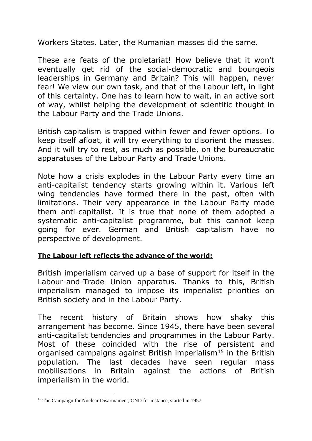Workers States. Later, the Rumanian masses did the same.

These are feats of the proletariat! How believe that it won't eventually get rid of the social-democratic and bourgeois leaderships in Germany and Britain? This will happen, never fear! We view our own task, and that of the Labour left, in light of this certainty. One has to learn how to wait, in an active sort of way, whilst helping the development of scientific thought in the Labour Party and the Trade Unions.

British capitalism is trapped within fewer and fewer options. To keep itself afloat, it will try everything to disorient the masses. And it will try to rest, as much as possible, on the bureaucratic apparatuses of the Labour Party and Trade Unions.

Note how a crisis explodes in the Labour Party every time an anti-capitalist tendency starts growing within it. Various left wing tendencies have formed there in the past, often with limitations. Their very appearance in the Labour Party made them anti-capitalist. It is true that none of them adopted a systematic anti-capitalist programme, but this cannot keep going for ever. German and British capitalism have no perspective of development.

# **The Labour left reflects the advance of the world:**

British imperialism carved up a base of support for itself in the Labour-and-Trade Union apparatus. Thanks to this, British imperialism managed to impose its imperialist priorities on British society and in the Labour Party.

The recent history of Britain shows how shaky this arrangement has become. Since 1945, there have been several anti-capitalist tendencies and programmes in the Labour Party. Most of these coincided with the rise of persistent and organised campaigns against British imperialism<sup>15</sup> in the British population. The last decades have seen regular mass mobilisations in Britain against the actions of British imperialism in the world.

<sup>-</sup><sup>15</sup> The Campaign for Nuclear Disarmament, CND for instance, started in 1957.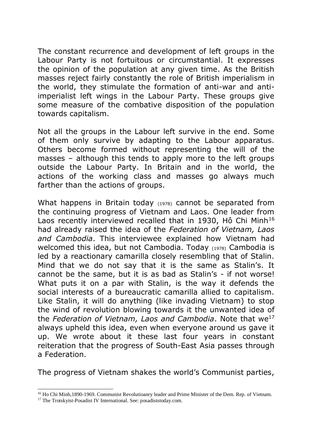The constant recurrence and development of left groups in the Labour Party is not fortuitous or circumstantial. It expresses the opinion of the population at any given time. As the British masses reject fairly constantly the role of British imperialism in the world, they stimulate the formation of anti-war and antiimperialist left wings in the Labour Party. These groups give some measure of the combative disposition of the population towards capitalism.

Not all the groups in the Labour left survive in the end. Some of them only survive by adapting to the Labour apparatus. Others become formed without representing the will of the masses – although this tends to apply more to the left groups outside the Labour Party. In Britain and in the world, the actions of the working class and masses go always much farther than the actions of groups.

What happens in Britain today (1978) cannot be separated from the continuing progress of Vietnam and Laos. One leader from Laos recently interviewed recalled that in 1930, Hô Chi Minh<sup>16</sup> had already raised the idea of the *Federation of Vietnam, Laos and Cambodia*. This interviewee explained how Vietnam had welcomed this idea, but not Cambodia. Today (1978) Cambodia is led by a reactionary camarilla closely resembling that of Stalin. Mind that we do not say that it is the same as Stalin's. It cannot be the same, but it is as bad as Stalin's - if not worse! What puts it on a par with Stalin, is the way it defends the social interests of a bureaucratic camarilla allied to capitalism. Like Stalin, it will do anything (like invading Vietnam) to stop the wind of revolution blowing towards it the unwanted idea of the *Federation of Vietnam, Laos and Cambodia*. Note that we<sup>17</sup> always upheld this idea, even when everyone around us gave it up. We wrote about it these last four years in constant reiteration that the progress of South-East Asia passes through a Federation.

The progress of Vietnam shakes the world's Communist parties,

<sup>&</sup>lt;sup>16</sup> Ho Chi Minh,1890-1969. Communist Revolutioanry leader and Prime Minister of the Dem. Rep. of Vietnam.

<sup>&</sup>lt;sup>17</sup> The Trotskyist-Posadist IV International. See: posadiststoday.com.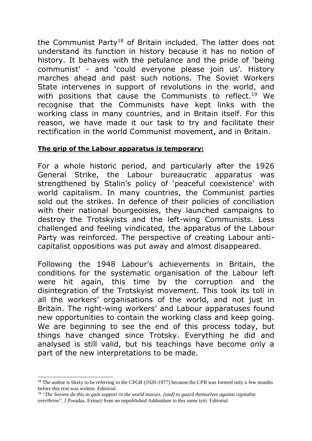the Communist Party<sup>18</sup> of Britain included. The latter does not understand its function in history because it has no notion of history. It behaves with the petulance and the pride of 'being communist' - and 'could everyone please join us'. History marches ahead and past such notions. The Soviet Workers State intervenes in support of revolutions in the world, and with positions that cause the Communists to reflect.<sup>19</sup> We recognise that the Communists have kept links with the working class in many countries, and in Britain itself. For this reason, we have made it our task to try and facilitate their rectification in the world Communist movement, and in Britain.

### **The grip of the Labour apparatus is temporary:**

For a whole historic period, and particularly after the 1926 General Strike, the Labour bureaucratic apparatus was strengthened by Stalin's policy of 'peaceful coexistence' with world capitalism. In many countries, the Communist parties sold out the strikes. In defence of their policies of conciliation with their national bourgeoisies, they launched campaigns to destroy the Trotskyists and the left-wing Communists. Less challenged and feeling vindicated, the apparatus of the Labour Party was reinforced. The perspective of creating Labour anticapitalist oppositions was put away and almost disappeared.

Following the 1948 Labour's achievements in Britain, the conditions for the systematic organisation of the Labour left were hit again, this time by the corruption and the disintegration of the Trotskyist movement. This took its toll in all the workers' organisations of the world, and not just in Britain. The right-wing workers' and Labour apparatuses found new opportunities to contain the working class and keep going. We are beginning to see the end of this process today, but things have changed since Trotsky. Everything he did and analysed is still valid, but his teachings have become only a part of the new interpretations to be made.

<sup>&</sup>lt;sup>18</sup> The author is likely to be referring to the CPGB (1920-1977) because the CPB was formed only a few months before this text was written. Editorial.

<sup>&</sup>lt;sup>19</sup> "The Soviets do this to gain support in the world masses, [and] to guard themselves against capitalist *overthrow*", J Posadas, Extract from an unpublished Addendum to this same text. Editorial.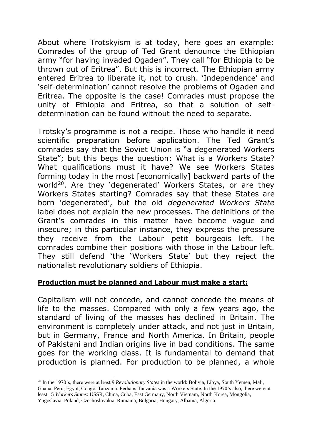About where Trotskyism is at today, here goes an example: Comrades of the group of Ted Grant denounce the Ethiopian army "for having invaded Ogaden". They call "for Ethiopia to be thrown out of Eritrea". But this is incorrect. The Ethiopian army entered Eritrea to liberate it, not to crush. 'Independence' and 'self-determination' cannot resolve the problems of Ogaden and Eritrea. The opposite is the case! Comrades must propose the unity of Ethiopia and Eritrea, so that a solution of selfdetermination can be found without the need to separate.

Trotsky's programme is not a recipe. Those who handle it need scientific preparation before application. The Ted Grant's comrades say that the Soviet Union is "a degenerated Workers State"; but this begs the question: What is a Workers State? What qualifications must it have? We see Workers States forming today in the most [economically] backward parts of the world<sup>20</sup>. Are they 'degenerated' Workers States, or are they Workers States starting? Comrades say that these States are born 'degenerated', but the old *degenerated Workers State* label does not explain the new processes. The definitions of the Grant's comrades in this matter have become vague and insecure; in this particular instance, they express the pressure they receive from the Labour petit bourgeois left. The comrades combine their positions with those in the Labour left. They still defend 'the 'Workers State' but they reject the nationalist revolutionary soldiers of Ethiopia.

#### **Production must be planned and Labour must make a start:**

Capitalism will not concede, and cannot concede the means of life to the masses. Compared with only a few years ago, the standard of living of the masses has declined in Britain. The environment is completely under attack, and not just in Britain, but in Germany, France and North America. In Britain, people of Pakistani and Indian origins live in bad conditions. The same goes for the working class. It is fundamental to demand that production is planned. For production to be planned, a whole

<sup>20</sup> In the 1970's, there were at least 9 *Revolutionary States* in the world: Bolivia, Libya, South Yemen, Mali, Ghana, Peru, Egypt, Congo, Tanzania. Perhaps Tanzania was a Workers State. In the 1970's also, there were at least 15 *Workers States*: USSR, China, Cuba, East Germany, North Vietnam, North Korea, Mongolia, Yugoslavia, Poland, Czechoslovakia, Rumania, Bulgaria, Hungary, Albania, Algeria.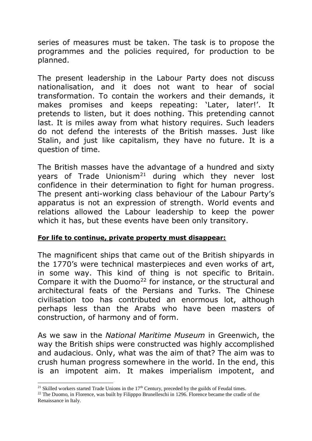series of measures must be taken. The task is to propose the programmes and the policies required, for production to be planned.

The present leadership in the Labour Party does not discuss nationalisation, and it does not want to hear of social transformation. To contain the workers and their demands, it makes promises and keeps repeating: 'Later, later!'. It pretends to listen, but it does nothing. This pretending cannot last. It is miles away from what history requires. Such leaders do not defend the interests of the British masses. Just like Stalin, and just like capitalism, they have no future. It is a question of time.

The British masses have the advantage of a hundred and sixty years of Trade Unionism<sup>21</sup> during which they never lost confidence in their determination to fight for human progress. The present anti-working class behaviour of the Labour Party's apparatus is not an expression of strength. World events and relations allowed the Labour leadership to keep the power which it has, but these events have been only transitory.

# **For life to continue, private property must disappear:**

The magnificent ships that came out of the British shipyards in the 1770's were technical masterpieces and even works of art, in some way. This kind of thing is not specific to Britain. Compare it with the Duomo<sup>22</sup> for instance, or the structural and architectural feats of the Persians and Turks. The Chinese civilisation too has contributed an enormous lot, although perhaps less than the Arabs who have been masters of construction, of harmony and of form.

As we saw in the *National Maritime Museum* in Greenwich, the way the British ships were constructed was highly accomplished and audacious. Only, what was the aim of that? The aim was to crush human progress somewhere in the world. In the end, this is an impotent aim. It makes imperialism impotent, and

 $\overline{a}$ 

<sup>&</sup>lt;sup>21</sup> Skilled workers started Trade Unions in the  $17<sup>th</sup>$  Century, preceded by the guilds of Feudal times.

<sup>&</sup>lt;sup>22</sup> The Duomo, in Florence, was built by Filipppo Brunelleschi in 1296. Florence became the cradle of the Renaissance in Italy.